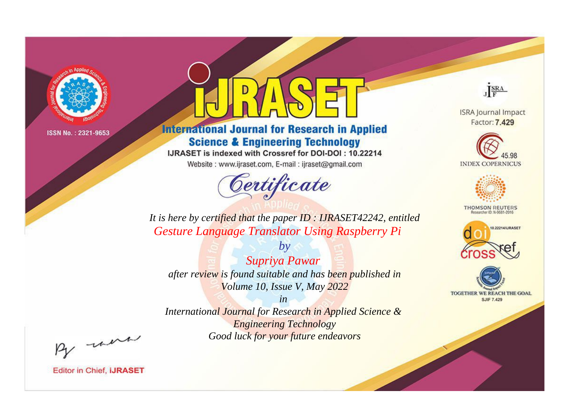

# **International Journal for Research in Applied Science & Engineering Technology**

IJRASET is indexed with Crossref for DOI-DOI: 10.22214

Website: www.ijraset.com, E-mail: ijraset@gmail.com



JERA

**ISRA Journal Impact** Factor: 7.429





**THOMSON REUTERS** 



TOGETHER WE REACH THE GOAL **SJIF 7.429** 

*It is here by certified that the paper ID : IJRASET42242, entitled Gesture Language Translator Using Raspberry Pi*

*Supriya Pawar after review is found suitable and has been published in Volume 10, Issue V, May 2022*

*by*

*in* 

*International Journal for Research in Applied Science & Engineering Technology Good luck for your future endeavors*

By morn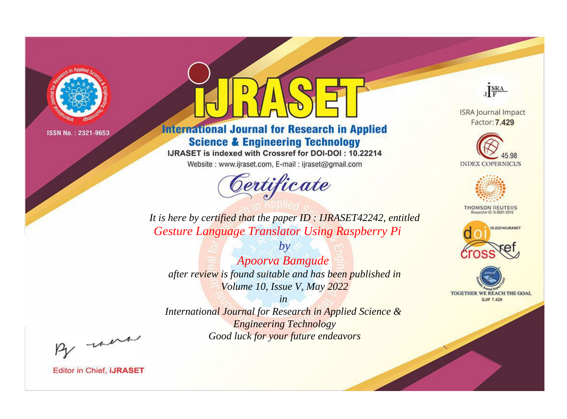

# **International Journal for Research in Applied Science & Engineering Technology**

IJRASET is indexed with Crossref for DOI-DOI: 10.22214

Website: www.ijraset.com, E-mail: ijraset@gmail.com



JERA

**ISRA Journal Impact** Factor: 7.429





**THOMSON REUTERS** 



TOGETHER WE REACH THE GOAL **SJIF 7.429** 

*It is here by certified that the paper ID : IJRASET42242, entitled Gesture Language Translator Using Raspberry Pi*

*Apoorva Bamgude after review is found suitable and has been published in Volume 10, Issue V, May 2022*

*by*

*in* 

*International Journal for Research in Applied Science & Engineering Technology Good luck for your future endeavors*

By morn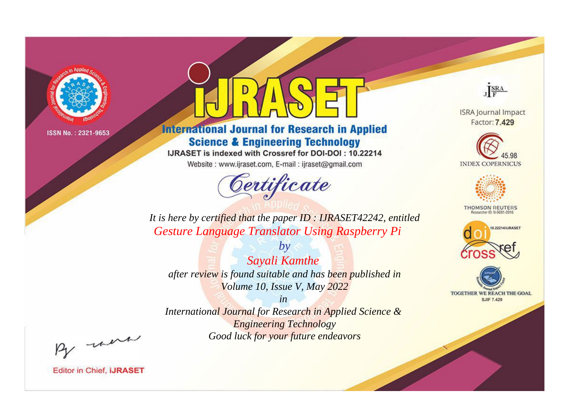

# **International Journal for Research in Applied Science & Engineering Technology**

IJRASET is indexed with Crossref for DOI-DOI: 10.22214

Website: www.ijraset.com, E-mail: ijraset@gmail.com



JERA

**ISRA Journal Impact** Factor: 7.429





**THOMSON REUTERS** 



TOGETHER WE REACH THE GOAL **SJIF 7.429** 

*It is here by certified that the paper ID : IJRASET42242, entitled Gesture Language Translator Using Raspberry Pi*

*by Sayali Kamthe after review is found suitable and has been published in Volume 10, Issue V, May 2022*

*in* 

*International Journal for Research in Applied Science & Engineering Technology Good luck for your future endeavors*

By morn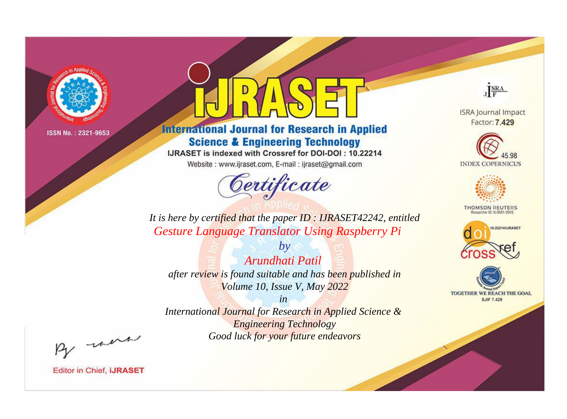

# **International Journal for Research in Applied Science & Engineering Technology**

IJRASET is indexed with Crossref for DOI-DOI: 10.22214

Website: www.ijraset.com, E-mail: ijraset@gmail.com



JERA

**ISRA Journal Impact** Factor: 7.429





**THOMSON REUTERS** 



TOGETHER WE REACH THE GOAL **SJIF 7.429** 

*It is here by certified that the paper ID : IJRASET42242, entitled Gesture Language Translator Using Raspberry Pi*

*by Arundhati Patil after review is found suitable and has been published in Volume 10, Issue V, May 2022*

*in* 

*International Journal for Research in Applied Science & Engineering Technology Good luck for your future endeavors*

By morn